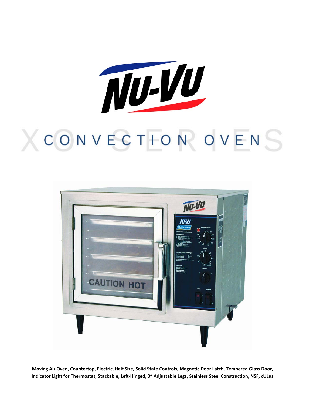

# CONVECTION OVENS



Moving Air Oven, Countertop, Electric, Half Size, Solid State Controls, Magnetic Door Latch, Tempered Glass Door, Indicator Light for Thermostat, Stackable, Left-Hinged, 3" Adjustable Legs, Stainless Steel Construction, NSF, cULus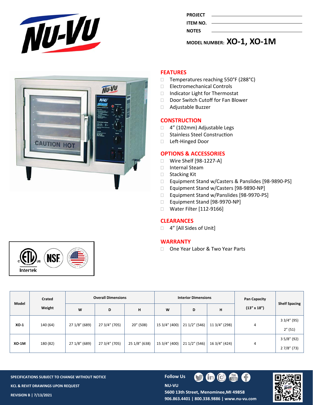

|                 | .<br>. |
|-----------------|--------|
| <b>NOTES</b>    |        |
| <b>ITEM NO.</b> |        |
|                 |        |
| <b>PROJECT</b>  |        |

**MODEL NUMBER: XO‐1, XO‐1M**



# **FEATURES**

- $\Box$  Temperatures reaching 550°F (288°C)
- □ Electromechanical Controls
- □ Indicator Light for Thermostat
- Door Switch Cutoff for Fan Blower
- Adjustable Buzzer

#### **CONSTRUCTION**

- □ 4" (102mm) Adjustable Legs
- □ Stainless Steel Construction
- □ Left-Hinged Door

### **OPTIONS & ACCESSORIES**

- Wire Shelf [98‐1227‐A]
- Internal Steam
- □ Stacking Kit
- Equipment Stand w/Casters & Panslides [98‐9890‐PS]
- Equipment Stand w/Casters [98‐9890‐NP]
- Equipment Stand w/Panslides [98‐9970‐PS]
- Equipment Stand [98‐9970‐NP]
- □ Water Filter [112-9166]

## **CLEARANCES**

□ 4" [All Sides of Unit]

#### **WARRANTY**

□ One Year Labor & Two Year Parts



SPECIFICATIONS SUBJECT TO CHANGE WITHOUT NOTICE **Follow US KCL & REVIT DRAWINGS UPON REQUEST** 

**NU-VU** 



**REVISION B | 7/13/2021 906.863.4401 | 800.338.9886 | www.nu‐vu.com** 

 $|C|$